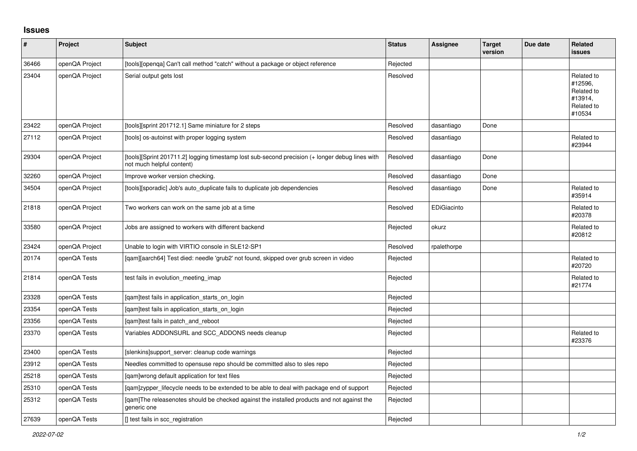## **Issues**

| $\pmb{\#}$ | Project        | Subject                                                                                                                      | <b>Status</b> | <b>Assignee</b> | <b>Target</b><br>version | Due date | <b>Related</b><br><b>issues</b>                                        |
|------------|----------------|------------------------------------------------------------------------------------------------------------------------------|---------------|-----------------|--------------------------|----------|------------------------------------------------------------------------|
| 36466      | openQA Project | [tools][openga] Can't call method "catch" without a package or object reference                                              | Rejected      |                 |                          |          |                                                                        |
| 23404      | openQA Project | Serial output gets lost                                                                                                      | Resolved      |                 |                          |          | Related to<br>#12596,<br>Related to<br>#13914,<br>Related to<br>#10534 |
| 23422      | openQA Project | [tools][sprint 201712.1] Same miniature for 2 steps                                                                          | Resolved      | dasantiago      | Done                     |          |                                                                        |
| 27112      | openQA Project | [tools] os-autoinst with proper logging system                                                                               | Resolved      | dasantiago      |                          |          | Related to<br>#23944                                                   |
| 29304      | openQA Project | [tools][Sprint 201711.2] logging timestamp lost sub-second precision (+ longer debug lines with<br>not much helpful content) | Resolved      | dasantiago      | Done                     |          |                                                                        |
| 32260      | openQA Project | Improve worker version checking.                                                                                             | Resolved      | dasantiago      | Done                     |          |                                                                        |
| 34504      | openQA Project | [tools][sporadic] Job's auto_duplicate fails to duplicate job dependencies                                                   | Resolved      | dasantiago      | Done                     |          | Related to<br>#35914                                                   |
| 21818      | openQA Project | Two workers can work on the same job at a time                                                                               | Resolved      | EDiGiacinto     |                          |          | Related to<br>#20378                                                   |
| 33580      | openQA Project | Jobs are assigned to workers with different backend                                                                          | Rejected      | okurz           |                          |          | Related to<br>#20812                                                   |
| 23424      | openQA Project | Unable to login with VIRTIO console in SLE12-SP1                                                                             | Resolved      | rpalethorpe     |                          |          |                                                                        |
| 20174      | openQA Tests   | [qam][aarch64] Test died: needle 'grub2' not found, skipped over grub screen in video                                        | Rejected      |                 |                          |          | Related to<br>#20720                                                   |
| 21814      | openQA Tests   | test fails in evolution meeting imap                                                                                         | Rejected      |                 |                          |          | Related to<br>#21774                                                   |
| 23328      | openQA Tests   | [gam]test fails in application starts on login                                                                               | Rejected      |                 |                          |          |                                                                        |
| 23354      | openQA Tests   | [qam]test fails in application_starts_on_login                                                                               | Rejected      |                 |                          |          |                                                                        |
| 23356      | openQA Tests   | [gam]test fails in patch and reboot                                                                                          | Rejected      |                 |                          |          |                                                                        |
| 23370      | openQA Tests   | Variables ADDONSURL and SCC_ADDONS needs cleanup                                                                             | Rejected      |                 |                          |          | Related to<br>#23376                                                   |
| 23400      | openQA Tests   | [slenkins]support_server: cleanup code warnings                                                                              | Rejected      |                 |                          |          |                                                                        |
| 23912      | openQA Tests   | Needles committed to opensuse repo should be committed also to sles repo                                                     | Rejected      |                 |                          |          |                                                                        |
| 25218      | openQA Tests   | [gam]wrong default application for text files                                                                                | Rejected      |                 |                          |          |                                                                        |
| 25310      | openQA Tests   | [gam]zypper lifecycle needs to be extended to be able to deal with package end of support                                    | Rejected      |                 |                          |          |                                                                        |
| 25312      | openQA Tests   | [gam]The releasenotes should be checked against the installed products and not against the<br>generic one                    | Rejected      |                 |                          |          |                                                                        |
| 27639      | openQA Tests   | [] test fails in scc registration                                                                                            | Rejected      |                 |                          |          |                                                                        |